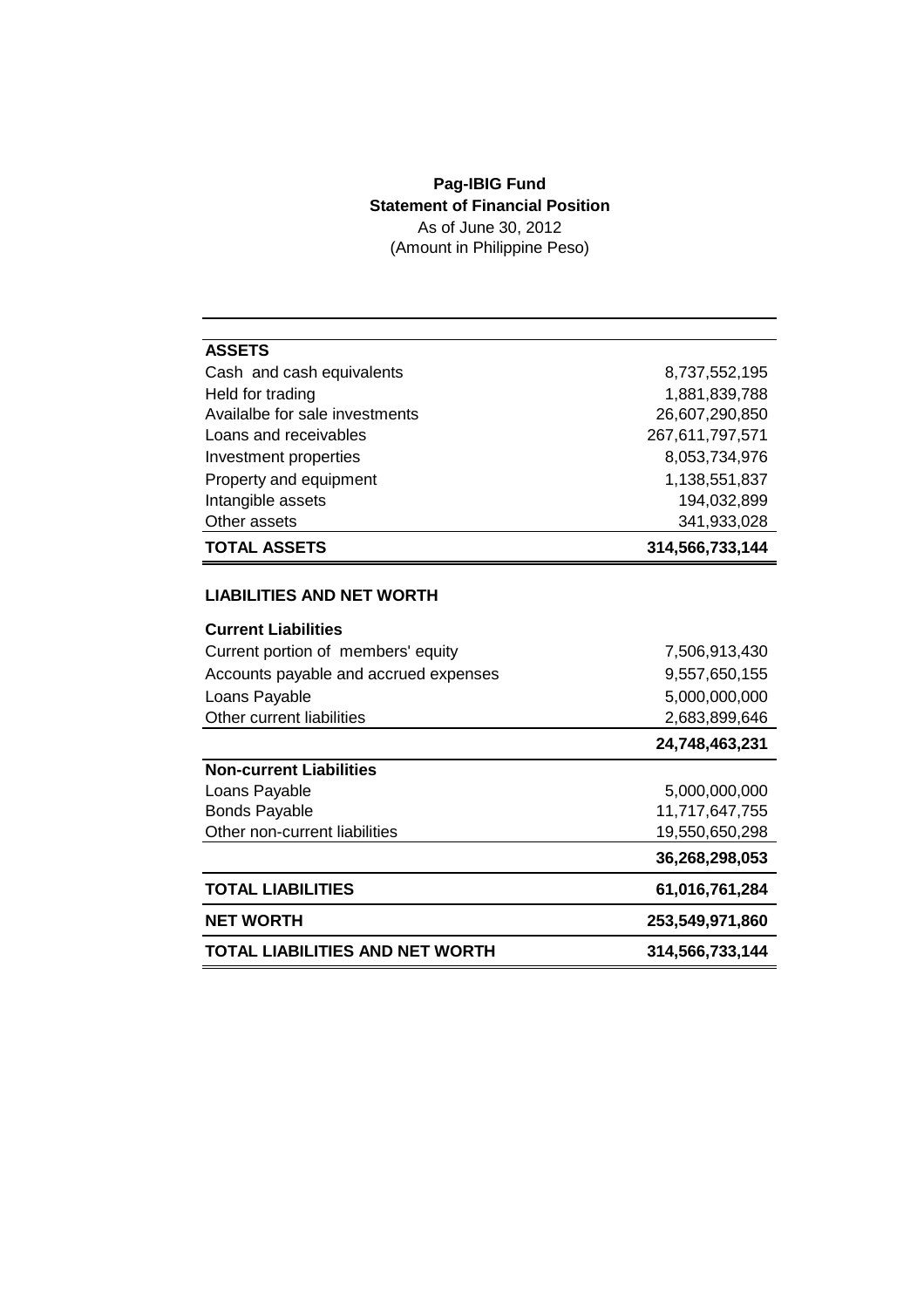## **Pag-IBIG Fund Statement of Financial Position** As of June 30, 2012

(Amount in Philippine Peso)

| <b>ASSETS</b>                          |                 |
|----------------------------------------|-----------------|
| Cash and cash equivalents              | 8,737,552,195   |
| Held for trading                       | 1,881,839,788   |
| Availalbe for sale investments         | 26,607,290,850  |
| Loans and receivables                  | 267,611,797,571 |
| Investment properties                  | 8,053,734,976   |
| Property and equipment                 | 1,138,551,837   |
| Intangible assets                      | 194,032,899     |
| Other assets                           | 341,933,028     |
| <b>TOTAL ASSETS</b>                    | 314,566,733,144 |
| <b>LIABILITIES AND NET WORTH</b>       |                 |
| <b>Current Liabilities</b>             |                 |
| Current portion of members' equity     | 7,506,913,430   |
| Accounts payable and accrued expenses  | 9,557,650,155   |
| Loans Payable                          | 5,000,000,000   |
| Other current liabilities              | 2,683,899,646   |
|                                        | 24,748,463,231  |
| <b>Non-current Liabilities</b>         |                 |
| Loans Payable                          | 5,000,000,000   |
| <b>Bonds Payable</b>                   | 11,717,647,755  |
| Other non-current liabilities          | 19,550,650,298  |
|                                        | 36,268,298,053  |
| <b>TOTAL LIABILITIES</b>               | 61,016,761,284  |
| <b>NET WORTH</b>                       | 253,549,971,860 |
| <b>TOTAL LIABILITIES AND NET WORTH</b> | 314,566,733,144 |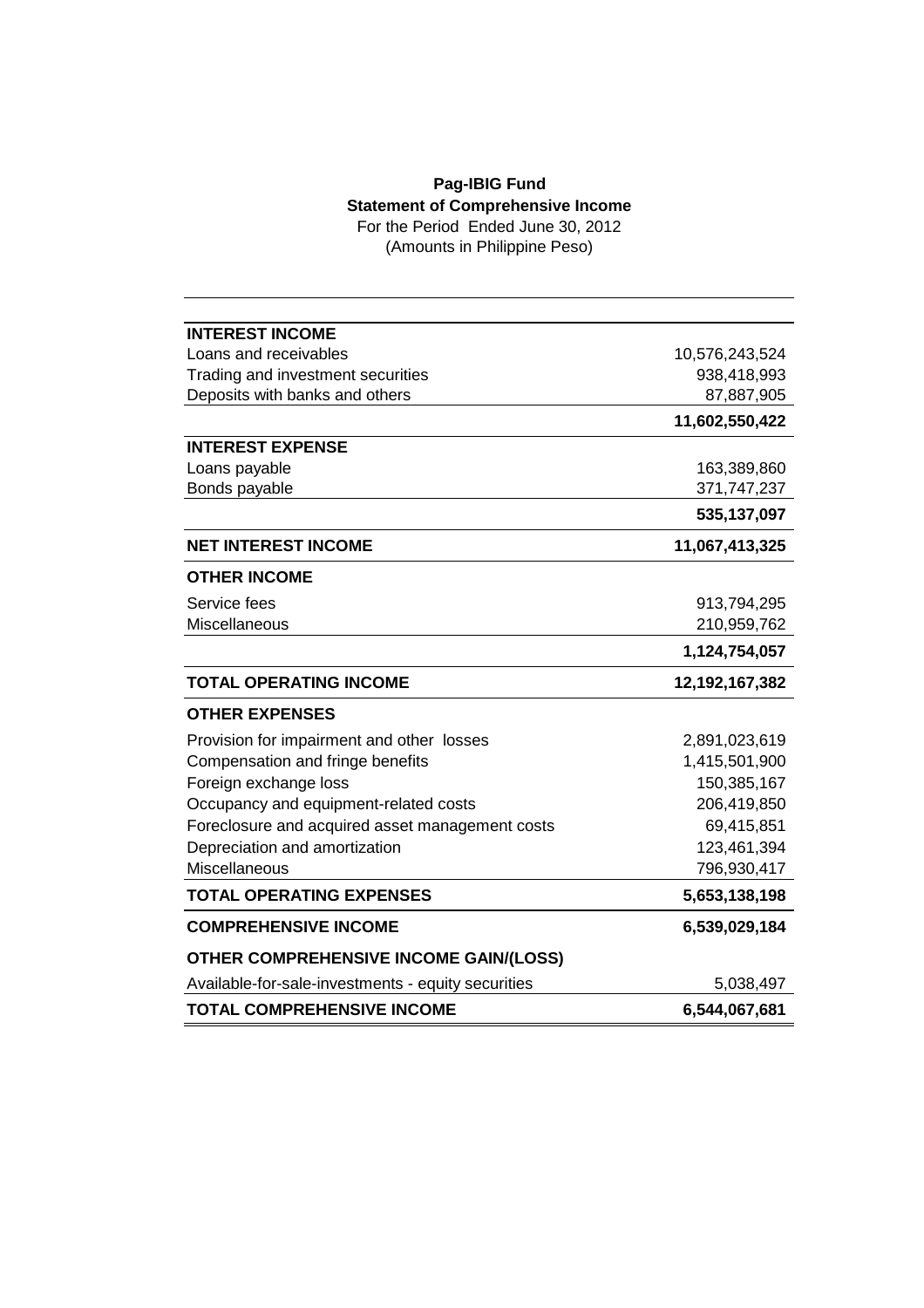## **Pag-IBIG Fund Statement of Comprehensive Income**

For the Period Ended June 30, 2012 (Amounts in Philippine Peso)

| <b>INTEREST INCOME</b>                             |                |
|----------------------------------------------------|----------------|
| Loans and receivables                              | 10,576,243,524 |
| Trading and investment securities                  | 938,418,993    |
| Deposits with banks and others                     | 87,887,905     |
|                                                    | 11,602,550,422 |
| <b>INTEREST EXPENSE</b>                            |                |
| Loans payable                                      | 163,389,860    |
| Bonds payable                                      | 371,747,237    |
|                                                    | 535,137,097    |
| <b>NET INTEREST INCOME</b>                         | 11,067,413,325 |
| <b>OTHER INCOME</b>                                |                |
| Service fees                                       | 913,794,295    |
| Miscellaneous                                      | 210,959,762    |
|                                                    | 1,124,754,057  |
|                                                    |                |
| <b>TOTAL OPERATING INCOME</b>                      | 12,192,167,382 |
| <b>OTHER EXPENSES</b>                              |                |
| Provision for impairment and other losses          | 2,891,023,619  |
| Compensation and fringe benefits                   | 1,415,501,900  |
| Foreign exchange loss                              | 150,385,167    |
| Occupancy and equipment-related costs              | 206,419,850    |
| Foreclosure and acquired asset management costs    | 69,415,851     |
| Depreciation and amortization                      | 123,461,394    |
| Miscellaneous                                      | 796,930,417    |
| <b>TOTAL OPERATING EXPENSES</b>                    | 5,653,138,198  |
| <b>COMPREHENSIVE INCOME</b>                        | 6,539,029,184  |
| <b>OTHER COMPREHENSIVE INCOME GAIN/(LOSS)</b>      |                |
| Available-for-sale-investments - equity securities | 5,038,497      |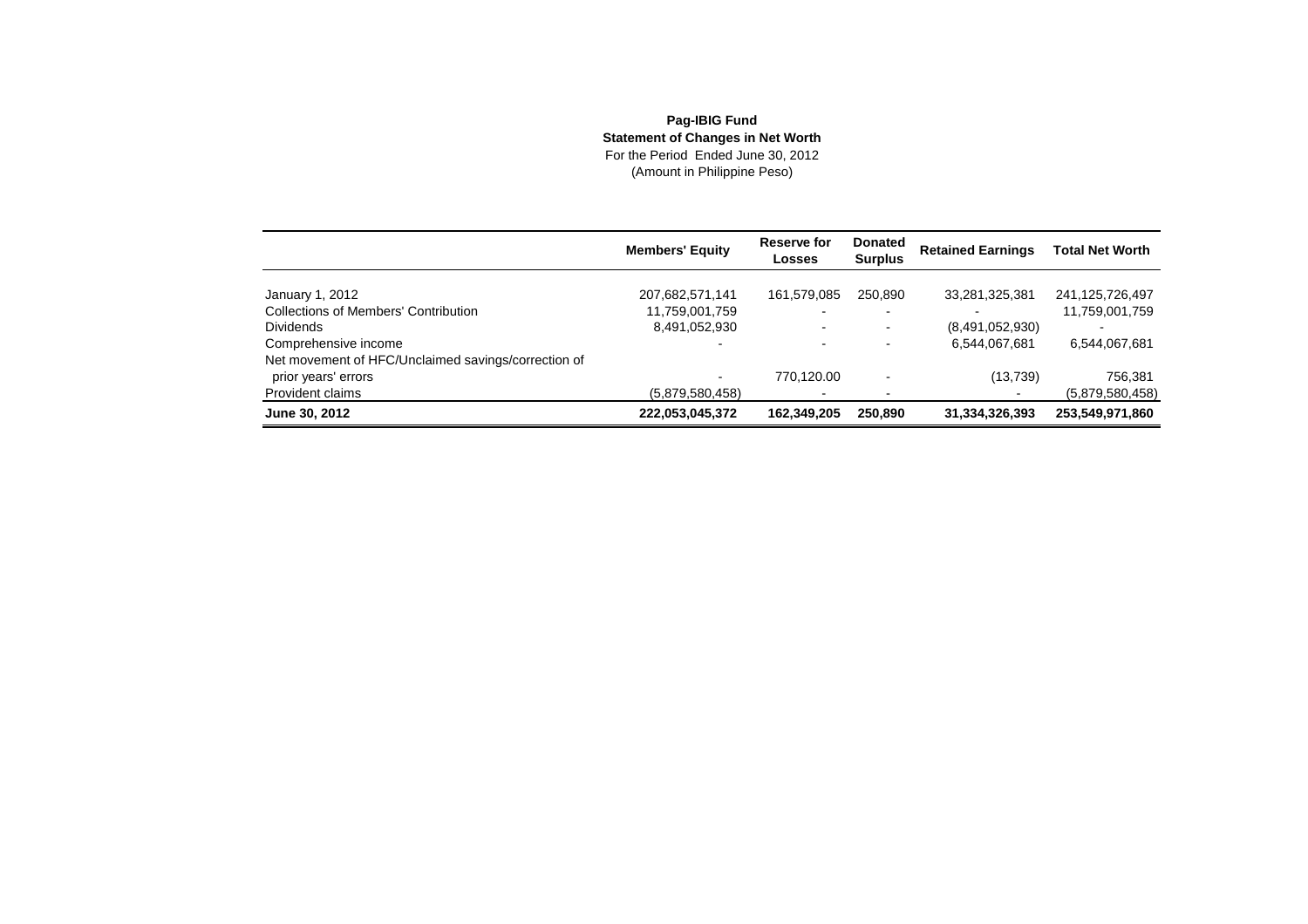## **Pag-IBIG Fund Statement of Changes in Net Worth** For the Period Ended June 30, 2012(Amount in Philippine Peso)

|                                                     | <b>Members' Equity</b> | Reserve for<br>Losses | <b>Donated</b><br><b>Surplus</b> | <b>Retained Earnings</b> | <b>Total Net Worth</b> |
|-----------------------------------------------------|------------------------|-----------------------|----------------------------------|--------------------------|------------------------|
|                                                     |                        |                       |                                  |                          |                        |
| January 1, 2012                                     | 207,682,571,141        | 161,579,085           | 250.890                          | 33,281,325,381           | 241,125,726,497        |
| <b>Collections of Members' Contribution</b>         | 11,759,001,759         |                       |                                  | $\overline{\phantom{0}}$ | 11,759,001,759         |
| <b>Dividends</b>                                    | 8,491,052,930          |                       | $\blacksquare$                   | (8,491,052,930)          |                        |
| Comprehensive income                                |                        |                       |                                  | 6,544,067,681            | 6,544,067,681          |
| Net movement of HFC/Unclaimed savings/correction of |                        |                       |                                  |                          |                        |
| prior years' errors                                 |                        | 770.120.00            |                                  | (13, 739)                | 756,381                |
| Provident claims                                    | (5,879,580,458)        |                       |                                  |                          | (5,879,580,458)        |
| June 30, 2012                                       | 222,053,045,372        | 162,349,205           | 250,890                          | 31,334,326,393           | 253,549,971,860        |